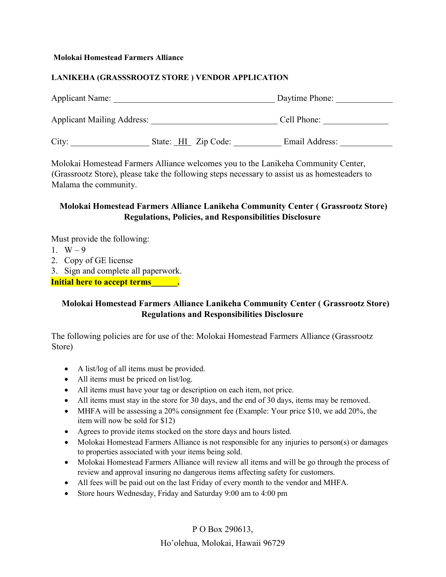#### **Molokai Homestead Farmers Alliance**

### **LANIKEHA (GRASSSROOTZ STORE ) VENDOR APPLICATION**

| <b>Applicant Name:</b>            | Daytime Phone:      |                |
|-----------------------------------|---------------------|----------------|
| <b>Applicant Mailing Address:</b> |                     | Cell Phone:    |
| City:                             | State: HI Zip Code: | Email Address: |

Molokai Homestead Farmers Alliance welcomes you to the Lanikeha Community Center, (Grassrootz Store), please take the following steps necessary to assist us as homesteaders to Malama the community.

# **Molokai Homestead Farmers Alliance Lanikeha Community Center ( Grassrootz Store) Regulations, Policies, and Responsibilities Disclosure**

Must provide the following:

- 1.  $W 9$
- 2. Copy of GE license
- 3. Sign and complete all paperwork.

**Initial here to accept terms**  $\qquad \qquad$ 

## **Molokai Homestead Farmers Alliance Lanikeha Community Center ( Grassrootz Store) Regulations and Responsibilities Disclosure**

The following policies are for use of the: Molokai Homestead Farmers Alliance (Grassrootz Store)

- A list/log of all items must be provided.
- All items must be priced on list/log.
- All items must have your tag or description on each item, not price.
- All items must stay in the store for 30 days, and the end of 30 days, items may be removed.
- MHFA will be assessing a 20% consignment fee (Example: Your price \$10, we add 20%, the item will now be sold for \$12)
- Agrees to provide items stocked on the store days and hours listed.
- Molokai Homestead Farmers Alliance is not responsible for any injuries to person(s) or damages to properties associated with your items being sold.
- Molokai Homestead Farmers Alliance will review all items and will be go through the process of review and approval insuring no dangerous items affecting safety for customers.
- All fees will be paid out on the last Friday of every month to the vendor and MHFA.
- Store hours Wednesday, Friday and Saturday 9:00 am to 4:00 pm